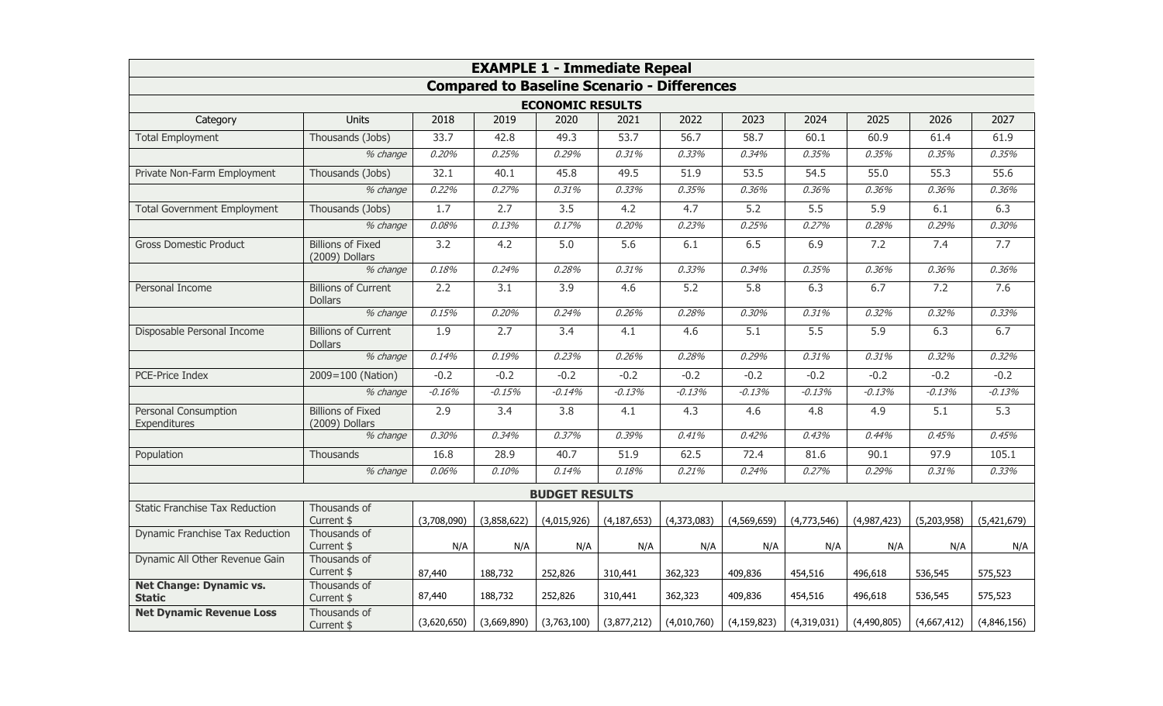| <b>EXAMPLE 1 - Immediate Repeal</b><br><b>Compared to Baseline Scenario - Differences</b><br><b>ECONOMIC RESULTS</b> |                                              |             |                  |                  |               |             |               |             |             |             |                         |                  |      |      |      |      |      |      |      |      |      |      |
|----------------------------------------------------------------------------------------------------------------------|----------------------------------------------|-------------|------------------|------------------|---------------|-------------|---------------|-------------|-------------|-------------|-------------------------|------------------|------|------|------|------|------|------|------|------|------|------|
|                                                                                                                      |                                              |             |                  |                  |               |             |               |             |             |             | Category                | <b>Units</b>     | 2018 | 2019 | 2020 | 2021 | 2022 | 2023 | 2024 | 2025 | 2026 | 2027 |
|                                                                                                                      |                                              |             |                  |                  |               |             |               |             |             |             | <b>Total Employment</b> | Thousands (Jobs) | 33.7 | 42.8 | 49.3 | 53.7 | 56.7 | 58.7 | 60.1 | 60.9 | 61.4 | 61.9 |
|                                                                                                                      | % change                                     | 0.20%       | 0.25%            | 0.29%            | 0.31%         | 0.33%       | 0.34%         | 0.35%       | 0.35%       | 0.35%       | 0.35%                   |                  |      |      |      |      |      |      |      |      |      |      |
| Private Non-Farm Employment                                                                                          | Thousands (Jobs)                             | 32.1        | 40.1             | 45.8             | 49.5          | 51.9        | 53.5          | 54.5        | 55.0        | 55.3        | 55.6                    |                  |      |      |      |      |      |      |      |      |      |      |
|                                                                                                                      | % change                                     | 0.22%       | 0.27%            | 0.31%            | 0.33%         | 0.35%       | 0.36%         | 0.36%       | 0.36%       | 0.36%       | 0.36%                   |                  |      |      |      |      |      |      |      |      |      |      |
| <b>Total Government Employment</b>                                                                                   | Thousands (Jobs)                             | 1.7         | 2.7              | 3.5              | 4.2           | 4.7         | 5.2           | 5.5         | 5.9         | 6.1         | 6.3                     |                  |      |      |      |      |      |      |      |      |      |      |
|                                                                                                                      | % change                                     | 0.08%       | 0.13%            | 0.17%            | 0.20%         | 0.23%       | 0.25%         | 0.27%       | 0.28%       | 0.29%       | 0.30%                   |                  |      |      |      |      |      |      |      |      |      |      |
| <b>Gross Domestic Product</b>                                                                                        | <b>Billions of Fixed</b><br>(2009) Dollars   | 3.2         | 4.2              | $\overline{5.0}$ | 5.6           | 6.1         | 6.5           | 6.9         | 7.2         | 7.4         | 7.7                     |                  |      |      |      |      |      |      |      |      |      |      |
|                                                                                                                      | % change                                     | 0.18%       | 0.24%            | 0.28%            | 0.31%         | 0.33%       | 0.34%         | 0.35%       | 0.36%       | 0.36%       | 0.36%                   |                  |      |      |      |      |      |      |      |      |      |      |
| Personal Income                                                                                                      | <b>Billions of Current</b><br><b>Dollars</b> | 2.2         | $\overline{3.1}$ | 3.9              | 4.6           | 5.2         | 5.8           | 6.3         | 6.7         | 7.2         | 7.6                     |                  |      |      |      |      |      |      |      |      |      |      |
|                                                                                                                      | % change                                     | 0.15%       | 0.20%            | 0.24%            | 0.26%         | 0.28%       | 0.30%         | 0.31%       | 0.32%       | 0.32%       | 0.33%                   |                  |      |      |      |      |      |      |      |      |      |      |
| Disposable Personal Income                                                                                           | <b>Billions of Current</b><br><b>Dollars</b> | 1.9         | 2.7              | 3.4              | 4.1           | 4.6         | 5.1           | 5.5         | 5.9         | 6.3         | 6.7                     |                  |      |      |      |      |      |      |      |      |      |      |
|                                                                                                                      | % change                                     | 0.14%       | 0.19%            | 0.23%            | 0.26%         | 0.28%       | 0.29%         | 0.31%       | 0.31%       | 0.32%       | 0.32%                   |                  |      |      |      |      |      |      |      |      |      |      |
| PCE-Price Index                                                                                                      | 2009=100 (Nation)                            | $-0.2$      | $-0.2$           | $-0.2$           | $-0.2$        | $-0.2$      | $-0.2$        | $-0.2$      | $-0.2$      | $-0.2$      | $-0.2$                  |                  |      |      |      |      |      |      |      |      |      |      |
|                                                                                                                      | % change                                     | $-0.16%$    | $-0.15%$         | $-0.14%$         | $-0.13%$      | $-0.13%$    | $-0.13%$      | $-0.13%$    | $-0.13%$    | $-0.13%$    | $-0.13%$                |                  |      |      |      |      |      |      |      |      |      |      |
| Personal Consumption<br>Expenditures                                                                                 | <b>Billions of Fixed</b><br>(2009) Dollars   | 2.9         | 3.4              | 3.8              | 4.1           | 4.3         | 4.6           | 4.8         | 4.9         | 5.1         | 5.3                     |                  |      |      |      |      |      |      |      |      |      |      |
|                                                                                                                      | % change                                     | 0.30%       | 0.34%            | 0.37%            | 0.39%         | 0.41%       | 0.42%         | 0.43%       | 0.44%       | 0.45%       | 0.45%                   |                  |      |      |      |      |      |      |      |      |      |      |
| Population                                                                                                           | Thousands                                    | 16.8        | 28.9             | 40.7             | 51.9          | 62.5        | 72.4          | 81.6        | 90.1        | 97.9        | 105.1                   |                  |      |      |      |      |      |      |      |      |      |      |
|                                                                                                                      | % change                                     | 0.06%       | 0.10%            | 0.14%            | 0.18%         | 0.21%       | 0.24%         | 0.27%       | 0.29%       | 0.31%       | 0.33%                   |                  |      |      |      |      |      |      |      |      |      |      |
| <b>BUDGET RESULTS</b>                                                                                                |                                              |             |                  |                  |               |             |               |             |             |             |                         |                  |      |      |      |      |      |      |      |      |      |      |
| <b>Static Franchise Tax Reduction</b>                                                                                | Thousands of<br>Current \$                   | (3,708,090) | (3,858,622)      | (4,015,926)      | (4, 187, 653) | (4,373,083) | (4,569,659)   | (4,773,546) | (4,987,423) | (5,203,958) | (5,421,679)             |                  |      |      |      |      |      |      |      |      |      |      |
| Dynamic Franchise Tax Reduction                                                                                      | Thousands of<br>Current \$                   | N/A         | N/A              | N/A              | N/A           | N/A         | N/A           | N/A         | N/A         | N/A         | N/A                     |                  |      |      |      |      |      |      |      |      |      |      |
| Dynamic All Other Revenue Gain                                                                                       | Thousands of<br>Current \$                   | 87,440      | 188,732          | 252,826          | 310,441       | 362,323     | 409,836       | 454,516     | 496,618     | 536,545     | 575,523                 |                  |      |      |      |      |      |      |      |      |      |      |
| <b>Net Change: Dynamic vs.</b><br><b>Static</b>                                                                      | Thousands of<br>Current \$                   | 87,440      | 188,732          | 252,826          | 310,441       | 362,323     | 409,836       | 454,516     | 496,618     | 536,545     | 575,523                 |                  |      |      |      |      |      |      |      |      |      |      |
| <b>Net Dynamic Revenue Loss</b>                                                                                      | Thousands of<br>Current \$                   | (3,620,650) | (3,669,890)      | (3,763,100)      | (3,877,212)   | (4,010,760) | (4, 159, 823) | (4,319,031) | (4,490,805) | (4,667,412) | (4,846,156)             |                  |      |      |      |      |      |      |      |      |      |      |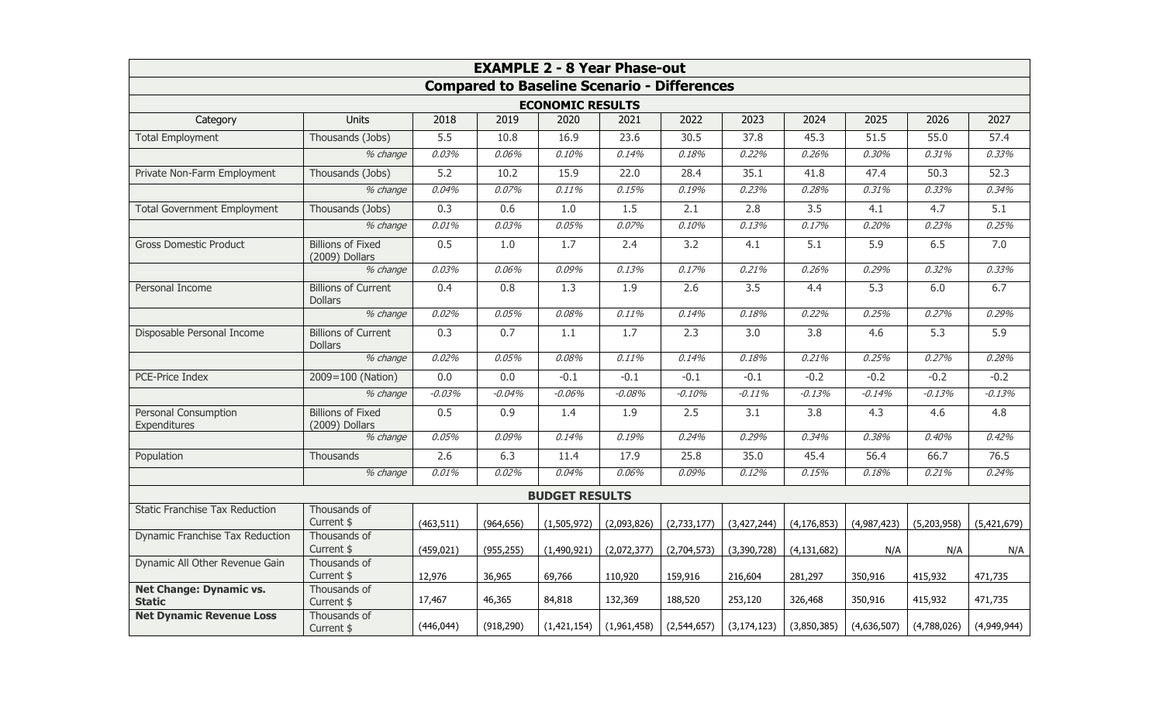| <b>EXAMPLE 2 - 8 Year Phase-out</b>                |                                              |            |            |             |                  |             |               |                  |             |             |             |
|----------------------------------------------------|----------------------------------------------|------------|------------|-------------|------------------|-------------|---------------|------------------|-------------|-------------|-------------|
| <b>Compared to Baseline Scenario - Differences</b> |                                              |            |            |             |                  |             |               |                  |             |             |             |
| <b>ECONOMIC RESULTS</b>                            |                                              |            |            |             |                  |             |               |                  |             |             |             |
| Category                                           | <b>Units</b>                                 | 2018       | 2019       | 2020        | 2021             | 2022        | 2023          | 2024             | 2025        | 2026        | 2027        |
| <b>Total Employment</b>                            | Thousands (Jobs)                             | 5.5        | 10.8       | 16.9        | 23.6             | 30.5        | 37.8          | 45.3             | 51.5        | 55.0        | 57.4        |
|                                                    | % change                                     | 0.03%      | 0.06%      | 0.10%       | 0.14%            | 0.18%       | 0.22%         | 0.26%            | 0.30%       | 0.31%       | 0.33%       |
| Private Non-Farm Employment                        | Thousands (Jobs)                             | 5.2        | 10.2       | 15.9        | 22.0             | 28.4        | 35.1          | 41.8             | 47.4        | 50.3        | 52.3        |
|                                                    | % change                                     | 0.04%      | 0.07%      | 0.11%       | 0.15%            | 0.19%       | 0.23%         | 0.28%            | 0.31%       | 0.33%       | 0.34%       |
| <b>Total Government Employment</b>                 | Thousands (Jobs)                             | 0.3        | 0.6        | 1.0         | 1.5              | 2.1         | 2.8           | 3.5              | 4.1         | 4.7         | 5.1         |
|                                                    | % change                                     | 0.01%      | 0.03%      | 0.05%       | 0.07%            | 0.10%       | 0.13%         | 0.17%            | 0.20%       | 0.23%       | 0.25%       |
| <b>Gross Domestic Product</b>                      | <b>Billions of Fixed</b><br>(2009) Dollars   | 0.5        | 1.0        | 1.7         | 2.4              | 3.2         | 4.1           | $\overline{5.1}$ | 5.9         | 6.5         | 7.0         |
|                                                    | % change                                     | 0.03%      | 0.06%      | 0.09%       | 0.13%            | 0.17%       | 0.21%         | 0.26%            | 0.29%       | 0.32%       | 0.33%       |
| Personal Income                                    | <b>Billions of Current</b><br><b>Dollars</b> | 0.4        | 0.8        | 1.3         | $\overline{1.9}$ | 2.6         | 3.5           | 4.4              | 5.3         | 6.0         | 6.7         |
|                                                    | % change                                     | 0.02%      | 0.05%      | 0.08%       | 0.11%            | 0.14%       | 0.18%         | 0.22%            | 0.25%       | 0.27%       | 0.29%       |
| Disposable Personal Income                         | <b>Billions of Current</b><br><b>Dollars</b> | 0.3        | 0.7        | 1.1         | 1.7              | 2.3         | 3.0           | 3.8              | 4.6         | 5.3         | 5.9         |
|                                                    | $%$ change                                   | 0.02%      | 0.05%      | 0.08%       | 0.11%            | 0.14%       | 0.18%         | 0.21%            | 0.25%       | 0.27%       | 0.28%       |
| PCE-Price Index                                    | 2009=100 (Nation)                            | 0.0        | 0.0        | $-0.1$      | $-0.1$           | $-0.1$      | $-0.1$        | $-0.2$           | $-0.2$      | $-0.2$      | $-0.2$      |
|                                                    | % change                                     | $-0.03%$   | $-0.04%$   | $-0.06%$    | $-0.08%$         | $-0.10%$    | $-0.11%$      | $-0.13%$         | $-0.14%$    | $-0.13%$    | $-0.13%$    |
| Personal Consumption<br>Expenditures               | <b>Billions of Fixed</b><br>(2009) Dollars   | 0.5        | 0.9        | 1.4         | 1.9              | 2.5         | 3.1           | $\overline{3.8}$ | 4.3         | 4.6         | 4.8         |
|                                                    | % change                                     | 0.05%      | 0.09%      | 0.14%       | 0.19%            | 0.24%       | 0.29%         | 0.34%            | 0.38%       | 0.40%       | 0.42%       |
| Population                                         | Thousands                                    | 2.6        | 6.3        | 11.4        | 17.9             | 25.8        | 35.0          | 45.4             | 56.4        | 66.7        | 76.5        |
|                                                    | % change                                     | 0.01%      | 0.02%      | 0.04%       | 0.06%            | 0.09%       | 0.12%         | 0.15%            | 0.18%       | 0.21%       | 0.24%       |
| <b>BUDGET RESULTS</b>                              |                                              |            |            |             |                  |             |               |                  |             |             |             |
| <b>Static Franchise Tax Reduction</b>              | Thousands of<br>Current \$                   | (463, 511) | (964, 656) | (1,505,972) | (2,093,826)      | (2,733,177) | (3,427,244)   | (4, 176, 853)    | (4,987,423) | (5,203,958) | (5,421,679) |
| Dynamic Franchise Tax Reduction                    | Thousands of<br>Current \$                   | (459, 021) | (955, 255) | (1,490,921) | (2,072,377)      | (2,704,573) | (3,390,728)   | (4, 131, 682)    | N/A         | N/A         | N/A         |
| Dynamic All Other Revenue Gain                     | Thousands of<br>Current \$                   | 12,976     | 36,965     | 69,766      | 110,920          | 159,916     | 216,604       | 281,297          | 350,916     | 415,932     | 471,735     |
| <b>Net Change: Dynamic vs.</b><br><b>Static</b>    | Thousands of<br>Current \$                   | 17,467     | 46,365     | 84,818      | 132,369          | 188,520     | 253,120       | 326,468          | 350,916     | 415,932     | 471,735     |
| <b>Net Dynamic Revenue Loss</b>                    | Thousands of<br>Current \$                   | (446, 044) | (918, 290) | (1,421,154) | (1,961,458)      | (2,544,657) | (3, 174, 123) | (3,850,385)      | (4,636,507) | (4,788,026) | (4,949,944) |